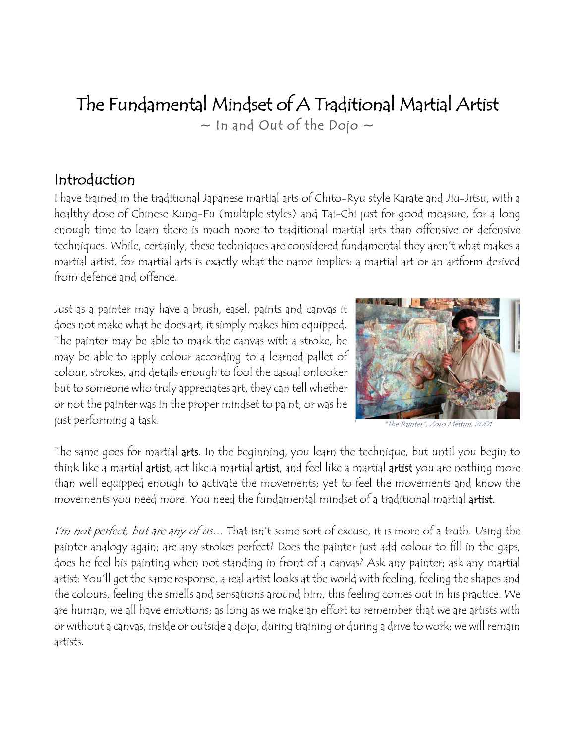# The Fundamental Mindset of A Traditional Martial Artist  $\sim$  In and Out of the Dojo  $\sim$

## Introduction

I have trained in the traditional Japanese martial arts of Chito-Ryu style Karate and Jiu-Jitsu, with a healthy dose of Chinese Kung-Fu (multiple styles) and Tai-Chi just for good measure, for a long enough time to learn there is much more to traditional martial arts than offensive or defensive techniques. While, certainly, these techniques are considered fundamental they aren't what makes a martial artist, for martial arts is exactly what the name implies: a martial art or an artform derived from defence and offence.

Just as a painter may have a brush, easel, paints and canvas it does not make what he does art, it simply makes him equipped. The painter may be able to mark the canvas with a stroke, he may be able to apply colour according to a learned pallet of colour, strokes, and details enough to fool the casual onlooker but to someone who truly appreciates art, they can tell whether or not the painter was in the proper mindset to paint, or was he just performing a task.



The Painter", Zoro Mettini,

The same goes for martial arts. In the beginning, you learn the technique, but until you begin to think like a martial artist, act like a martial artist, and feel like a martial artist you are nothing more than well equipped enough to activate the movements; yet to feel the movements and know the movements you need more. You need the fundamental mindset of a traditional martial artist.

I'm not perfect, but are any of us... That isn't some sort of excuse, it is more of a truth. Using the painter analogy again; are any strokes perfect? Does the painter just add colour to fill in the gaps, does he feel his painting when not standing in front of a canvas? Ask any painter; ask any martial artist: You'll get the same response, a real artist looks at the world with feeling, feeling the shapes and the colours, feeling the smells and sensations around him, this feeling comes out in his practice. We are human, we all have emotions; as long as we make an effort to remember that we are artists with or without a canvas, inside or outside a dojo, during training or during a drive to work; we will remain artists.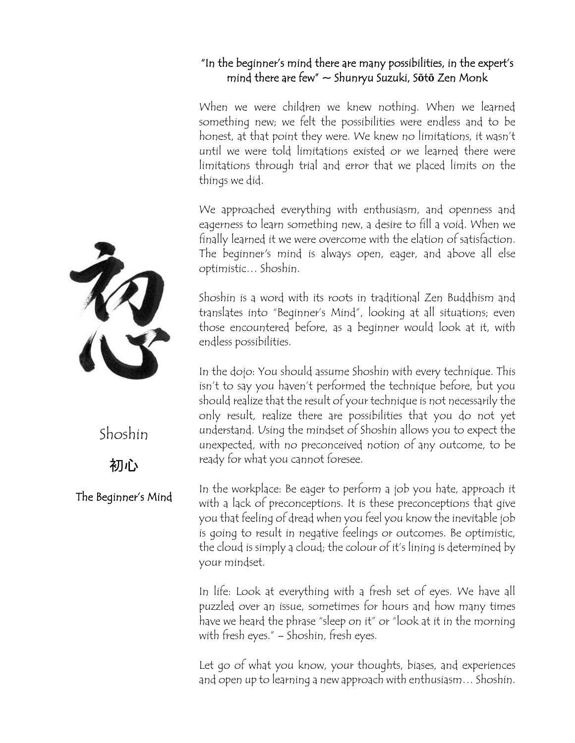#### "In the beginner's mind there are many possibilities, in the expert's mind there are few" ~ Shunryu Suzuki, S**ō**t**ō** Zen Monk

When we were children we knew nothing. When we learned something new; we felt the possibilities were endless and to be honest, at that point they were. We knew no limitations, it wasn't until we were told limitations existed or we learned there were limitations through trial and error that we placed limits on the things we did.

We approached everything with enthusiasm, and openness and eagerness to learn something new, a desire to fill a void. When we finally learned it we were overcome with the elation of satisfaction. The beginner's mind is always open, eager, and above all else optimistic… Shoshin.

Shoshin is a word with its roots in traditional Zen Buddhism and translates into "Beginner's Mind", looking at all situations; even those encountered before, as a beginner would look at it, with endless possibilities.

In the dojo: You should assume Shoshin with every technique. This isn't to say you haven't performed the technique before, but you should realize that the result of your technique is not necessarily the only result, realize there are possibilities that you do not yet understand. Using the mindset of Shoshin allows you to expect the unexpected, with no preconceived notion of any outcome, to be ready for what you cannot foresee.

In the workplace: Be eager to perform a job you hate, approach it with a lack of preconceptions. It is these preconceptions that give you that feeling of dread when you feel you know the inevitable job is going to result in negative feelings or outcomes. Be optimistic, the cloud is simply a cloud; the colour of it's lining is determined by your mindset.

In life: Look at everything with a fresh set of eyes. We have all puzzled over an issue, sometimes for hours and how many times have we heard the phrase "sleep on it" or "look at it in the morning with fresh eyes." – Shoshin, fresh eyes.

Let go of what you know, your thoughts, biases, and experiences and open up to learning a new approach with enthusiasm… Shoshin.



Shoshin

初心

The Beginner's Mind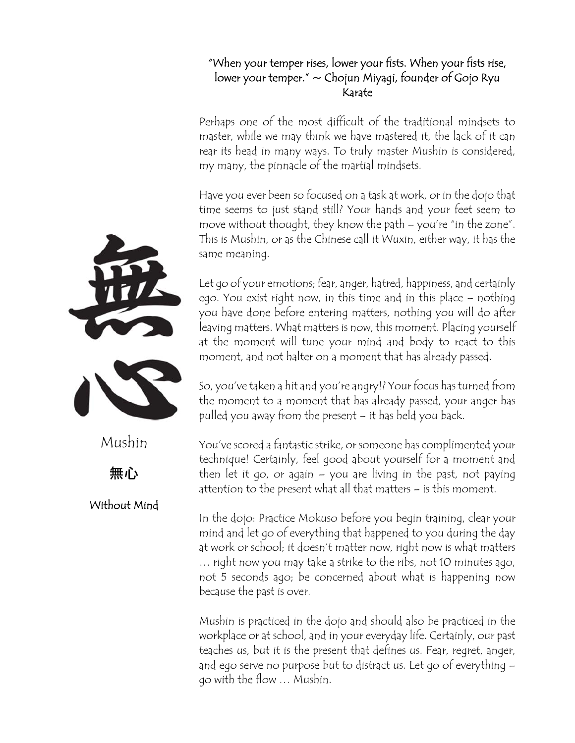#### "When your temper rises, lower your fists. When your fists rise, lower your temper."  $\sim$  Chojun Miyagi, founder of Gojo Ryu Karate

Perhaps one of the most difficult of the traditional mindsets to master, while we may think we have mastered it, the lack of it can rear its head in many ways. To truly master Mushin is considered, my many, the pinnacle of the martial mindsets.

Have you ever been so focused on a task at work, or in the dojo that time seems to just stand still? Your hands and your feet seem to move without thought, they know the path – you're "in the zone". This is Mushin, or as the Chinese call it Wuxin, either way, it has the same meaning.

Let go of your emotions; fear, anger, hatred, happiness, and certainly ego. You exist right now, in this time and in this place – nothing you have done before entering matters, nothing you will do after leaving matters. What matters is now, this moment. Placing yourself at the moment will tune your mind and body to react to this moment, and not halter on a moment that has already passed.

So, you've taken a hit and you're angry!? Your focus has turned from the moment to a moment that has already passed, your anger has pulled you away from the present – it has held you back.

You've scored a fantastic strike, or someone has complimented your technique! Certainly, feel good about yourself for a moment and then let it go, or again – you are living in the past, not paying attention to the present what all that matters – is this moment.

In the dojo: Practice Mokuso before you begin training, clear your mind and let go of everything that happened to you during the day at work or school; it doesn't matter now, right now is what matters … right now you may take a strike to the ribs, not 10 minutes ago, not 5 seconds ago; be concerned about what is happening now because the past is over.

Mushin is practiced in the dojo and should also be practiced in the workplace or at school, and in your everyday life. Certainly, our past teaches us, but it is the present that defines us. Fear, regret, anger, and ego serve no purpose but to distract us. Let go of everything – go with the flow … Mushin.

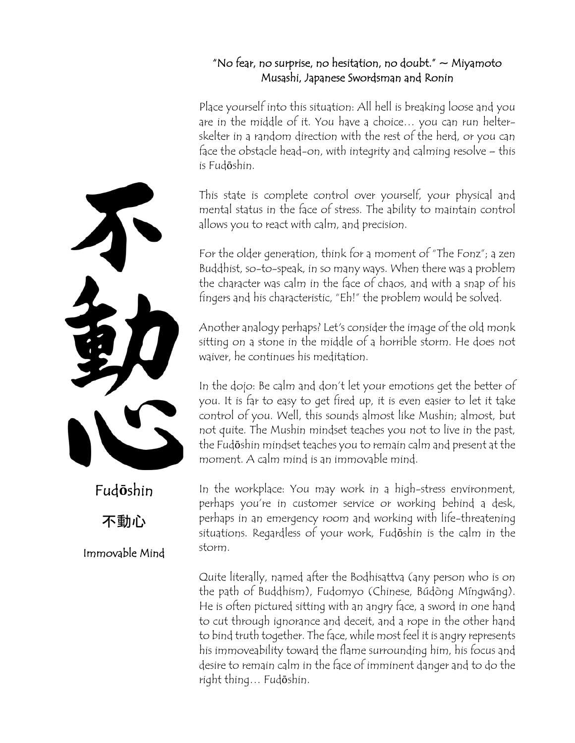#### "No fear, no surprise, no hesitation, no doubt."  $\sim$  Miyamoto Musashi, Japanese Swordsman and Ronin

Place yourself into this situation: All hell is breaking loose and you are in the middle of it. You have a choice… you can run helterskelter in a random direction with the rest of the herd, or you can face the obstacle head-on, with integrity and calming resolve – this is Fudōshin.

This state is complete control over yourself, your physical and mental status in the face of stress. The ability to maintain control allows you to react with calm, and precision.

For the older generation, think for a moment of "The Fonz"; a zen Buddhist, so-to-speak, in so many ways. When there was a problem the character was calm in the face of chaos, and with a snap of his fingers and his characteristic, "Eh!" the problem would be solved.

Another analogy perhaps? Let's consider the image of the old monk sitting on a stone in the middle of a horrible storm. He does not waiver, he continues his meditation.

In the dojo: Be calm and don't let your emotions get the better of you. It is far to easy to get fired up, it is even easier to let it take control of you. Well, this sounds almost like Mushin; almost, but not quite. The Mushin mindset teaches you not to live in the past, the Fudōshin mindset teaches you to remain calm and present at the moment. A calm mind is an immovable mind.

In the workplace: You may work in a high-stress environment, perhaps you're in customer service or working behind a desk, perhaps in an emergency room and working with life-threatening situations. Regardless of your work, Fudōshin is the calm in the storm.

Quite literally, named after the Bodhisattva (any person who is on the path of Buddhism), Fudomyo (Chinese, Búdòng Míngwáng). He is often pictured sitting with an angry face, a sword in one hand to cut through ignorance and deceit, and a rope in the other hand to bind truth together. The face, while most feel it is angry represents his immoveability toward the flame surrounding him, his focus and desire to remain calm in the face of imminent danger and to do the right thing… Fudōshin.



不動心

### Immovable Mind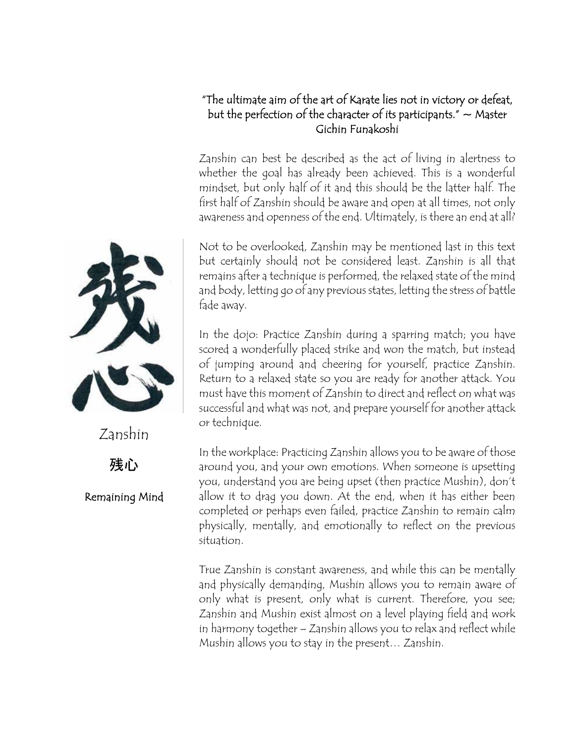#### "The ultimate aim of the art of Karate lies not in victory or defeat, but the perfection of the character of its participants."  $\sim$  Master Gichin Funakoshi

Zanshin can best be described as the act of living in alertness to whether the goal has already been achieved. This is a wonderful mindset, but only half of it and this should be the latter half. The first half of Zanshin should be aware and open at all times, not only awareness and openness of the end. Ultimately, is there an end at all?

Not to be overlooked, Zanshin may be mentioned last in this text but certainly should not be considered least. Zanshin is all that remains after a technique is performed, the relaxed state of the mind and body, letting go of any previous states, letting the stress of battle fade away.

In the dojo: Practice Zanshin during a sparring match; you have scored a wonderfully placed strike and won the match, but instead of jumping around and cheering for yourself, practice Zanshin. Return to a relaxed state so you are ready for another attack. You must have this moment of Zanshin to direct and reflect on what was successful and what was not, and prepare yourself for another attack or technique.

In the workplace: Practicing Zanshin allows you to be aware of those around you, and your own emotions. When someone is upsetting you, understand you are being upset (then practice Mushin), don't allow it to drag you down. At the end, when it has either been completed or perhaps even failed, practice Zanshin to remain calm physically, mentally, and emotionally to reflect on the previous situation.

True Zanshin is constant awareness, and while this can be mentally and physically demanding, Mushin allows you to remain aware of only what is present, only what is current. Therefore, you see; Zanshin and Mushin exist almost on a level playing field and work in harmony together – Zanshin allows you to relax and reflect while Mushin allows you to stay in the present… Zanshin.



残心 Remaining Mind